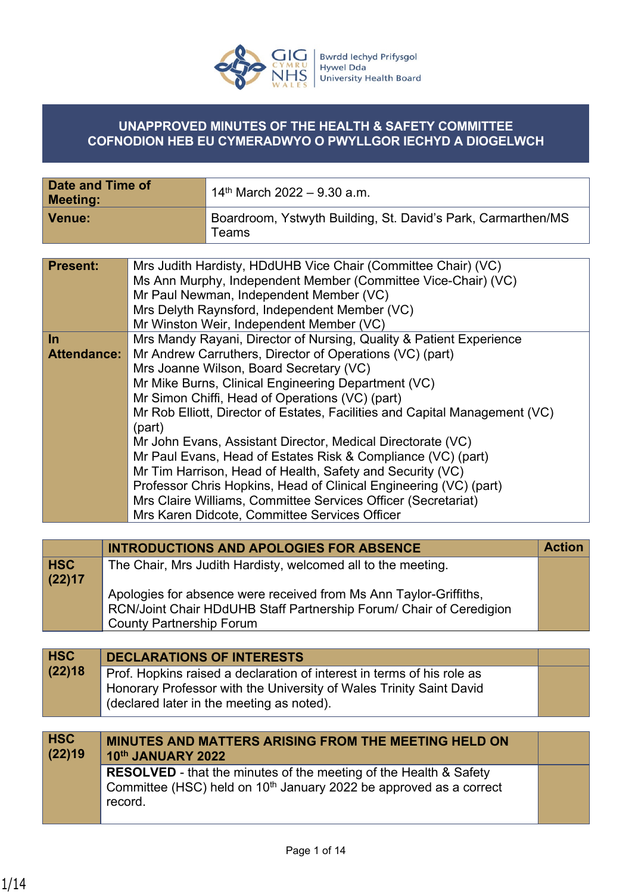

#### **UNAPPROVED MINUTES OF THE HEALTH & SAFETY COMMITTEE COFNODION HEB EU CYMERADWYO O PWYLLGOR IECHYD A DIOGELWCH**

| Date and Time of<br>Meeting: | $14th$ March 2022 – 9.30 a.m.                                               |
|------------------------------|-----------------------------------------------------------------------------|
| <b>Venue:</b>                | Boardroom, Ystwyth Building, St. David's Park, Carmarthen/MS<br>$\tau$ eams |

| <b>Present:</b>    | Mrs Judith Hardisty, HDdUHB Vice Chair (Committee Chair) (VC)<br>Ms Ann Murphy, Independent Member (Committee Vice-Chair) (VC)<br>Mr Paul Newman, Independent Member (VC)<br>Mrs Delyth Raynsford, Independent Member (VC)<br>Mr Winston Weir, Independent Member (VC) |
|--------------------|------------------------------------------------------------------------------------------------------------------------------------------------------------------------------------------------------------------------------------------------------------------------|
| $\ln$              | Mrs Mandy Rayani, Director of Nursing, Quality & Patient Experience                                                                                                                                                                                                    |
| <b>Attendance:</b> | Mr Andrew Carruthers, Director of Operations (VC) (part)                                                                                                                                                                                                               |
|                    | Mrs Joanne Wilson, Board Secretary (VC)                                                                                                                                                                                                                                |
|                    | Mr Mike Burns, Clinical Engineering Department (VC)                                                                                                                                                                                                                    |
|                    | Mr Simon Chiffi, Head of Operations (VC) (part)                                                                                                                                                                                                                        |
|                    | Mr Rob Elliott, Director of Estates, Facilities and Capital Management (VC)<br>(part)                                                                                                                                                                                  |
|                    | Mr John Evans, Assistant Director, Medical Directorate (VC)                                                                                                                                                                                                            |
|                    | Mr Paul Evans, Head of Estates Risk & Compliance (VC) (part)                                                                                                                                                                                                           |
|                    | Mr Tim Harrison, Head of Health, Safety and Security (VC)                                                                                                                                                                                                              |
|                    | Professor Chris Hopkins, Head of Clinical Engineering (VC) (part)                                                                                                                                                                                                      |
|                    | Mrs Claire Williams, Committee Services Officer (Secretariat)                                                                                                                                                                                                          |
|                    | Mrs Karen Didcote, Committee Services Officer                                                                                                                                                                                                                          |

|            | <b>INTRODUCTIONS AND APOLOGIES FOR ABSENCE</b>                      | <b>Action</b> |
|------------|---------------------------------------------------------------------|---------------|
| <b>HSC</b> | The Chair, Mrs Judith Hardisty, welcomed all to the meeting.        |               |
| (22)17     |                                                                     |               |
|            | Apologies for absence were received from Ms Ann Taylor-Griffiths,   |               |
|            | RCN/Joint Chair HDdUHB Staff Partnership Forum/ Chair of Ceredigion |               |
|            | <b>County Partnership Forum</b>                                     |               |

| <b>HSC</b><br>(22)18 | <b>DECLARATIONS OF INTERESTS</b><br>Prof. Hopkins raised a declaration of interest in terms of his role as<br>Honorary Professor with the University of Wales Trinity Saint David<br>(declared later in the meeting as noted). |  |
|----------------------|--------------------------------------------------------------------------------------------------------------------------------------------------------------------------------------------------------------------------------|--|
|                      |                                                                                                                                                                                                                                |  |
| <b>HSC</b><br>(22)19 | <b>MINUTES AND MATTERS ARISING FROM THE MEETING HELD ON</b><br>10th JANUARY 2022                                                                                                                                               |  |

**10th JANUARY 2022 RESOLVED** - that the minutes of the meeting of the Health & Safety Committee (HSC) held on  $10<sup>th</sup>$  January 2022 be approved as a correct record.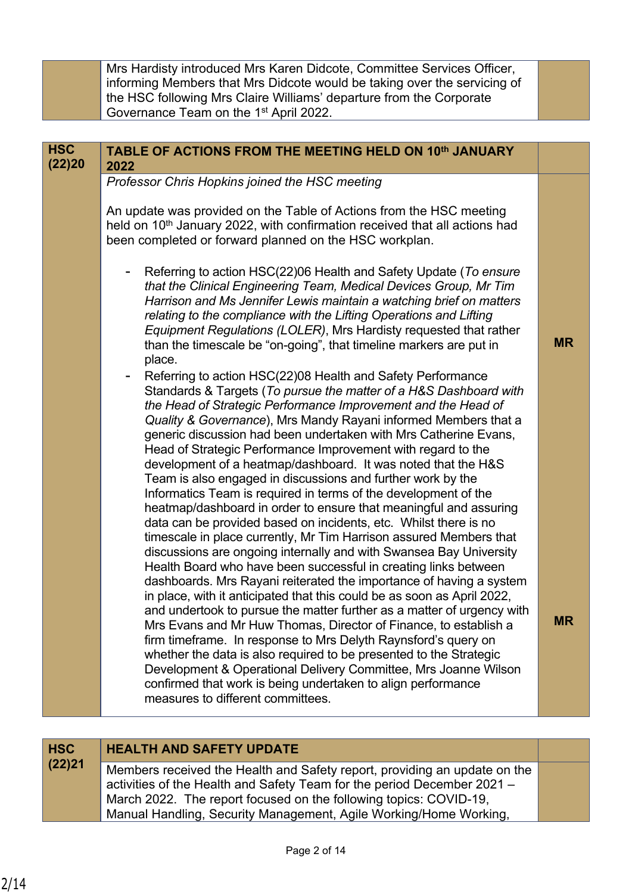Mrs Hardisty introduced Mrs Karen Didcote, Committee Services Officer, informing Members that Mrs Didcote would be taking over the servicing of the HSC following Mrs Claire Williams' departure from the Corporate Governance Team on the 1st April 2022.

| <b>HSC</b><br>(22)20 | TABLE OF ACTIONS FROM THE MEETING HELD ON 10th JANUARY<br>2022                                                                                                                                                                                                                                                                                                                                                                                                                                                                                                                                                                                                                                                                                                                                                                                                                                                                                                                                                                                                                                                                                                                                                                                                                                                                                                                                                                                                                                            |           |
|----------------------|-----------------------------------------------------------------------------------------------------------------------------------------------------------------------------------------------------------------------------------------------------------------------------------------------------------------------------------------------------------------------------------------------------------------------------------------------------------------------------------------------------------------------------------------------------------------------------------------------------------------------------------------------------------------------------------------------------------------------------------------------------------------------------------------------------------------------------------------------------------------------------------------------------------------------------------------------------------------------------------------------------------------------------------------------------------------------------------------------------------------------------------------------------------------------------------------------------------------------------------------------------------------------------------------------------------------------------------------------------------------------------------------------------------------------------------------------------------------------------------------------------------|-----------|
|                      | Professor Chris Hopkins joined the HSC meeting<br>An update was provided on the Table of Actions from the HSC meeting<br>held on 10 <sup>th</sup> January 2022, with confirmation received that all actions had<br>been completed or forward planned on the HSC workplan.<br>Referring to action HSC(22)06 Health and Safety Update (To ensure<br>that the Clinical Engineering Team, Medical Devices Group, Mr Tim<br>Harrison and Ms Jennifer Lewis maintain a watching brief on matters<br>relating to the compliance with the Lifting Operations and Lifting<br>Equipment Regulations (LOLER), Mrs Hardisty requested that rather<br>than the timescale be "on-going", that timeline markers are put in<br>place.<br>Referring to action HSC(22)08 Health and Safety Performance<br>$\overline{\phantom{0}}$<br>Standards & Targets (To pursue the matter of a H&S Dashboard with<br>the Head of Strategic Performance Improvement and the Head of<br>Quality & Governance), Mrs Mandy Rayani informed Members that a<br>generic discussion had been undertaken with Mrs Catherine Evans,<br>Head of Strategic Performance Improvement with regard to the<br>development of a heatmap/dashboard. It was noted that the H&S<br>Team is also engaged in discussions and further work by the<br>Informatics Team is required in terms of the development of the<br>heatmap/dashboard in order to ensure that meaningful and assuring<br>data can be provided based on incidents, etc. Whilst there is no | <b>MR</b> |
|                      | timescale in place currently, Mr Tim Harrison assured Members that<br>discussions are ongoing internally and with Swansea Bay University<br>Health Board who have been successful in creating links between<br>dashboards. Mrs Rayani reiterated the importance of having a system<br>in place, with it anticipated that this could be as soon as April 2022,<br>and undertook to pursue the matter further as a matter of urgency with<br>Mrs Evans and Mr Huw Thomas, Director of Finance, to establish a<br>firm timeframe. In response to Mrs Delyth Raynsford's query on<br>whether the data is also required to be presented to the Strategic<br>Development & Operational Delivery Committee, Mrs Joanne Wilson<br>confirmed that work is being undertaken to align performance<br>measures to different committees.                                                                                                                                                                                                                                                                                                                                                                                                                                                                                                                                                                                                                                                                               | <b>MR</b> |

## **HSC HEALTH AND SAFETY UPDATE**

**(22)21** Members received the Health and Safety report, providing an update on the activities of the Health and Safety Team for the period December 2021 – March 2022. The report focused on the following topics: COVID-19, Manual Handling, Security Management, Agile Working/Home Working,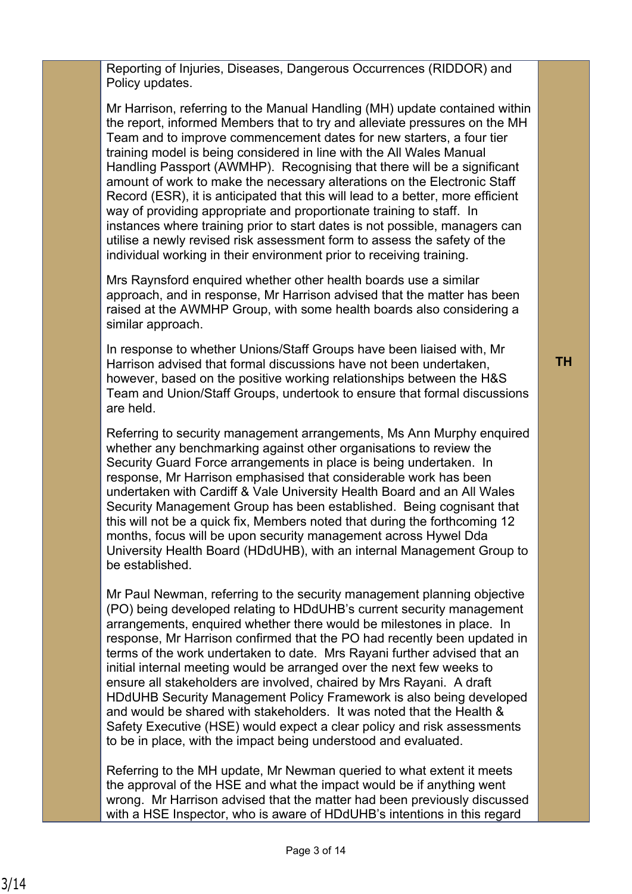Reporting of Injuries, Diseases, Dangerous Occurrences (RIDDOR) and Policy updates.

Mr Harrison, referring to the Manual Handling (MH) update contained within the report, informed Members that to try and alleviate pressures on the MH Team and to improve commencement dates for new starters, a four tier training model is being considered in line with the All Wales Manual Handling Passport (AWMHP). Recognising that there will be a significant amount of work to make the necessary alterations on the Electronic Staff Record (ESR), it is anticipated that this will lead to a better, more efficient way of providing appropriate and proportionate training to staff. In instances where training prior to start dates is not possible, managers can utilise a newly revised risk assessment form to assess the safety of the individual working in their environment prior to receiving training.

Mrs Raynsford enquired whether other health boards use a similar approach, and in response, Mr Harrison advised that the matter has been raised at the AWMHP Group, with some health boards also considering a similar approach.

In response to whether Unions/Staff Groups have been liaised with, Mr Harrison advised that formal discussions have not been undertaken, however, based on the positive working relationships between the H&S Team and Union/Staff Groups, undertook to ensure that formal discussions are held.

Referring to security management arrangements, Ms Ann Murphy enquired whether any benchmarking against other organisations to review the Security Guard Force arrangements in place is being undertaken. In response, Mr Harrison emphasised that considerable work has been undertaken with Cardiff & Vale University Health Board and an All Wales Security Management Group has been established. Being cognisant that this will not be a quick fix, Members noted that during the forthcoming 12 months, focus will be upon security management across Hywel Dda University Health Board (HDdUHB), with an internal Management Group to be established.

Mr Paul Newman, referring to the security management planning objective (PO) being developed relating to HDdUHB's current security management arrangements, enquired whether there would be milestones in place. In response, Mr Harrison confirmed that the PO had recently been updated in terms of the work undertaken to date. Mrs Rayani further advised that an initial internal meeting would be arranged over the next few weeks to ensure all stakeholders are involved, chaired by Mrs Rayani. A draft HDdUHB Security Management Policy Framework is also being developed and would be shared with stakeholders. It was noted that the Health & Safety Executive (HSE) would expect a clear policy and risk assessments to be in place, with the impact being understood and evaluated.

Referring to the MH update, Mr Newman queried to what extent it meets the approval of the HSE and what the impact would be if anything went wrong. Mr Harrison advised that the matter had been previously discussed with a HSE Inspector, who is aware of HDdUHB's intentions in this regard

**TH**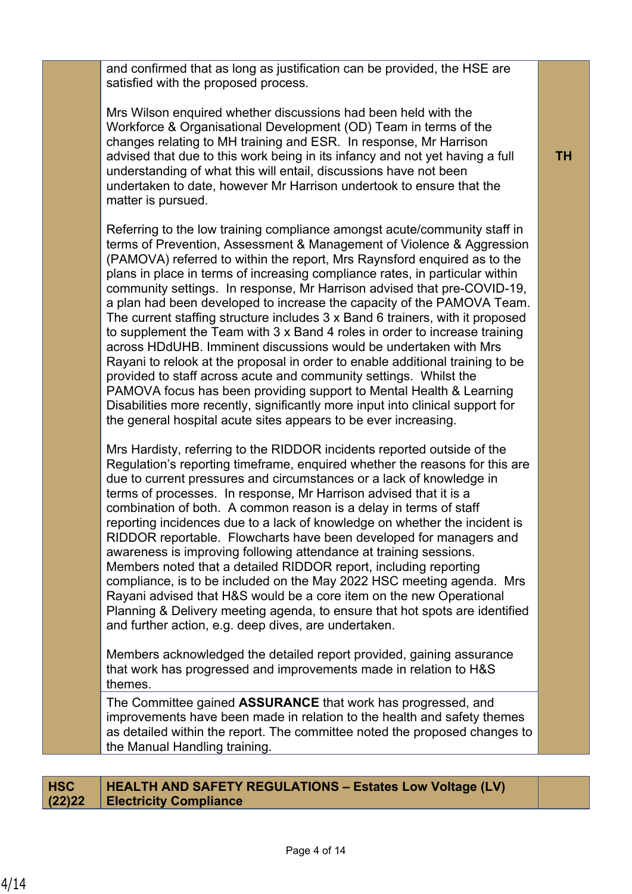and confirmed that as long as justification can be provided, the HSE are satisfied with the proposed process.

Mrs Wilson enquired whether discussions had been held with the Workforce & Organisational Development (OD) Team in terms of the changes relating to MH training and ESR. In response, Mr Harrison advised that due to this work being in its infancy and not yet having a full understanding of what this will entail, discussions have not been undertaken to date, however Mr Harrison undertook to ensure that the matter is pursued.

Referring to the low training compliance amongst acute/community staff in terms of Prevention, Assessment & Management of Violence & Aggression (PAMOVA) referred to within the report, Mrs Raynsford enquired as to the plans in place in terms of increasing compliance rates, in particular within community settings. In response, Mr Harrison advised that pre-COVID-19, a plan had been developed to increase the capacity of the PAMOVA Team. The current staffing structure includes 3 x Band 6 trainers, with it proposed to supplement the Team with 3 x Band 4 roles in order to increase training across HDdUHB. Imminent discussions would be undertaken with Mrs Rayani to relook at the proposal in order to enable additional training to be provided to staff across acute and community settings. Whilst the PAMOVA focus has been providing support to Mental Health & Learning Disabilities more recently, significantly more input into clinical support for the general hospital acute sites appears to be ever increasing.

Mrs Hardisty, referring to the RIDDOR incidents reported outside of the Regulation's reporting timeframe, enquired whether the reasons for this are due to current pressures and circumstances or a lack of knowledge in terms of processes. In response, Mr Harrison advised that it is a combination of both. A common reason is a delay in terms of staff reporting incidences due to a lack of knowledge on whether the incident is RIDDOR reportable. Flowcharts have been developed for managers and awareness is improving following attendance at training sessions. Members noted that a detailed RIDDOR report, including reporting compliance, is to be included on the May 2022 HSC meeting agenda. Mrs Rayani advised that H&S would be a core item on the new Operational Planning & Delivery meeting agenda, to ensure that hot spots are identified and further action, e.g. deep dives, are undertaken.

Members acknowledged the detailed report provided, gaining assurance that work has progressed and improvements made in relation to H&S themes.

The Committee gained **ASSURANCE** that work has progressed, and improvements have been made in relation to the health and safety themes as detailed within the report. The committee noted the proposed changes to the Manual Handling training.

#### **HSC (22)22 HEALTH AND SAFETY REGULATIONS – Estates Low Voltage (LV) Electricity Compliance**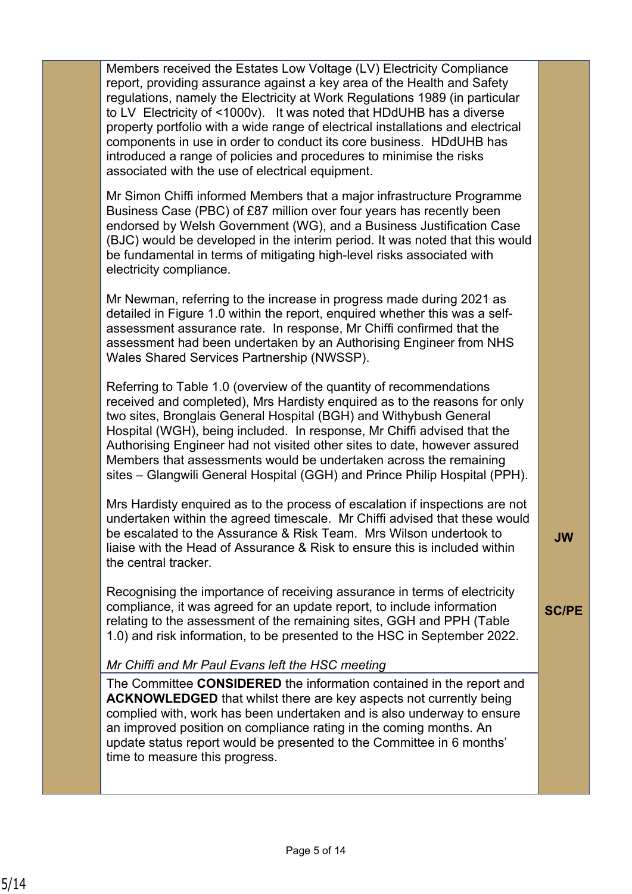Members received the Estates Low Voltage (LV) Electricity Compliance report, providing assurance against a key area of the Health and Safety regulations, namely the Electricity at Work Regulations 1989 (in particular to LV Electricity of <1000v). It was noted that HDdUHB has a diverse property portfolio with a wide range of electrical installations and electrical components in use in order to conduct its core business. HDdUHB has introduced a range of policies and procedures to minimise the risks associated with the use of electrical equipment.

Mr Simon Chiffi informed Members that a major infrastructure Programme Business Case (PBC) of £87 million over four years has recently been endorsed by Welsh Government (WG), and a Business Justification Case (BJC) would be developed in the interim period. It was noted that this would be fundamental in terms of mitigating high-level risks associated with electricity compliance.

Mr Newman, referring to the increase in progress made during 2021 as detailed in Figure 1.0 within the report, enquired whether this was a selfassessment assurance rate. In response, Mr Chiffi confirmed that the assessment had been undertaken by an Authorising Engineer from NHS Wales Shared Services Partnership (NWSSP).

Referring to Table 1.0 (overview of the quantity of recommendations received and completed), Mrs Hardisty enquired as to the reasons for only two sites, Bronglais General Hospital (BGH) and Withybush General Hospital (WGH), being included. In response, Mr Chiffi advised that the Authorising Engineer had not visited other sites to date, however assured Members that assessments would be undertaken across the remaining sites – Glangwili General Hospital (GGH) and Prince Philip Hospital (PPH).

Mrs Hardisty enquired as to the process of escalation if inspections are not undertaken within the agreed timescale. Mr Chiffi advised that these would be escalated to the Assurance & Risk Team. Mrs Wilson undertook to liaise with the Head of Assurance & Risk to ensure this is included within the central tracker.

Recognising the importance of receiving assurance in terms of electricity compliance, it was agreed for an update report, to include information relating to the assessment of the remaining sites, GGH and PPH (Table 1.0) and risk information, to be presented to the HSC in September 2022.

#### *Mr Chiffi and Mr Paul Evans left the HSC meeting*

The Committee **CONSIDERED** the information contained in the report and **ACKNOWLEDGED** that whilst there are key aspects not currently being complied with, work has been undertaken and is also underway to ensure an improved position on compliance rating in the coming months. An update status report would be presented to the Committee in 6 months' time to measure this progress.

**JW**

**SC/PE**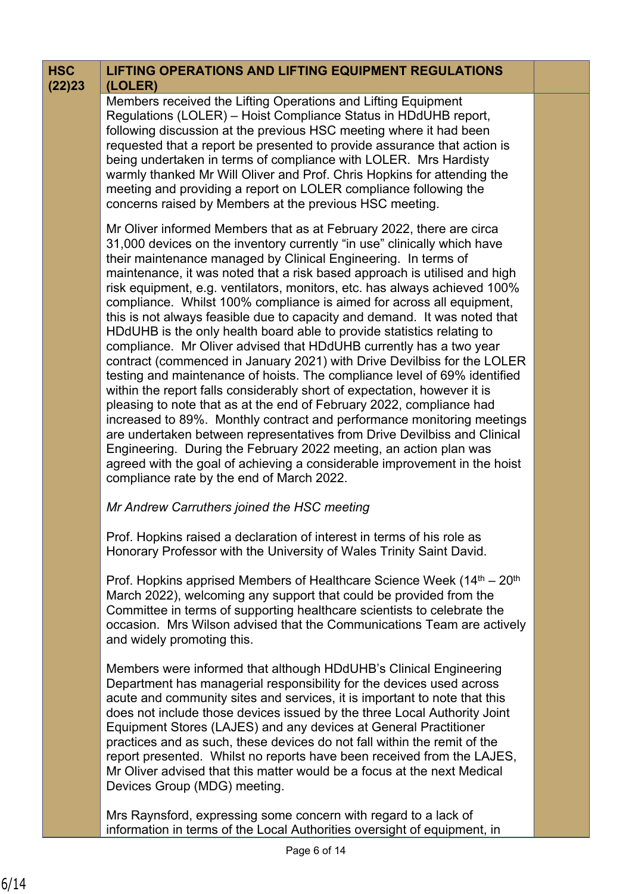| <b>HSC</b><br>(22)23 | <b>LIFTING OPERATIONS AND LIFTING EQUIPMENT REGULATIONS</b><br>(LOLER)                                                                                                                                                                                                                                                                                                                                                                                                                                                                                                                                                                                                                                                                                                                                                                                                                                                                                                                                                                                                                                                                                                                                                                                                                                                                              |  |
|----------------------|-----------------------------------------------------------------------------------------------------------------------------------------------------------------------------------------------------------------------------------------------------------------------------------------------------------------------------------------------------------------------------------------------------------------------------------------------------------------------------------------------------------------------------------------------------------------------------------------------------------------------------------------------------------------------------------------------------------------------------------------------------------------------------------------------------------------------------------------------------------------------------------------------------------------------------------------------------------------------------------------------------------------------------------------------------------------------------------------------------------------------------------------------------------------------------------------------------------------------------------------------------------------------------------------------------------------------------------------------------|--|
|                      | Members received the Lifting Operations and Lifting Equipment<br>Regulations (LOLER) - Hoist Compliance Status in HDdUHB report,<br>following discussion at the previous HSC meeting where it had been<br>requested that a report be presented to provide assurance that action is<br>being undertaken in terms of compliance with LOLER. Mrs Hardisty<br>warmly thanked Mr Will Oliver and Prof. Chris Hopkins for attending the<br>meeting and providing a report on LOLER compliance following the<br>concerns raised by Members at the previous HSC meeting.                                                                                                                                                                                                                                                                                                                                                                                                                                                                                                                                                                                                                                                                                                                                                                                    |  |
|                      | Mr Oliver informed Members that as at February 2022, there are circa<br>31,000 devices on the inventory currently "in use" clinically which have<br>their maintenance managed by Clinical Engineering. In terms of<br>maintenance, it was noted that a risk based approach is utilised and high<br>risk equipment, e.g. ventilators, monitors, etc. has always achieved 100%<br>compliance. Whilst 100% compliance is aimed for across all equipment,<br>this is not always feasible due to capacity and demand. It was noted that<br>HDdUHB is the only health board able to provide statistics relating to<br>compliance. Mr Oliver advised that HDdUHB currently has a two year<br>contract (commenced in January 2021) with Drive Devilbiss for the LOLER<br>testing and maintenance of hoists. The compliance level of 69% identified<br>within the report falls considerably short of expectation, however it is<br>pleasing to note that as at the end of February 2022, compliance had<br>increased to 89%. Monthly contract and performance monitoring meetings<br>are undertaken between representatives from Drive Devilbiss and Clinical<br>Engineering. During the February 2022 meeting, an action plan was<br>agreed with the goal of achieving a considerable improvement in the hoist<br>compliance rate by the end of March 2022. |  |
|                      | Mr Andrew Carruthers joined the HSC meeting                                                                                                                                                                                                                                                                                                                                                                                                                                                                                                                                                                                                                                                                                                                                                                                                                                                                                                                                                                                                                                                                                                                                                                                                                                                                                                         |  |
|                      | Prof. Hopkins raised a declaration of interest in terms of his role as<br>Honorary Professor with the University of Wales Trinity Saint David.                                                                                                                                                                                                                                                                                                                                                                                                                                                                                                                                                                                                                                                                                                                                                                                                                                                                                                                                                                                                                                                                                                                                                                                                      |  |
|                      | Prof. Hopkins apprised Members of Healthcare Science Week (14 <sup>th</sup> – 20 <sup>th</sup> )<br>March 2022), welcoming any support that could be provided from the<br>Committee in terms of supporting healthcare scientists to celebrate the<br>occasion. Mrs Wilson advised that the Communications Team are actively<br>and widely promoting this.                                                                                                                                                                                                                                                                                                                                                                                                                                                                                                                                                                                                                                                                                                                                                                                                                                                                                                                                                                                           |  |
|                      | Members were informed that although HDdUHB's Clinical Engineering<br>Department has managerial responsibility for the devices used across<br>acute and community sites and services, it is important to note that this<br>does not include those devices issued by the three Local Authority Joint<br>Equipment Stores (LAJES) and any devices at General Practitioner<br>practices and as such, these devices do not fall within the remit of the<br>report presented. Whilst no reports have been received from the LAJES,<br>Mr Oliver advised that this matter would be a focus at the next Medical<br>Devices Group (MDG) meeting.                                                                                                                                                                                                                                                                                                                                                                                                                                                                                                                                                                                                                                                                                                             |  |
|                      | Mrs Raynsford, expressing some concern with regard to a lack of<br>information in terms of the Local Authorities oversight of equipment, in                                                                                                                                                                                                                                                                                                                                                                                                                                                                                                                                                                                                                                                                                                                                                                                                                                                                                                                                                                                                                                                                                                                                                                                                         |  |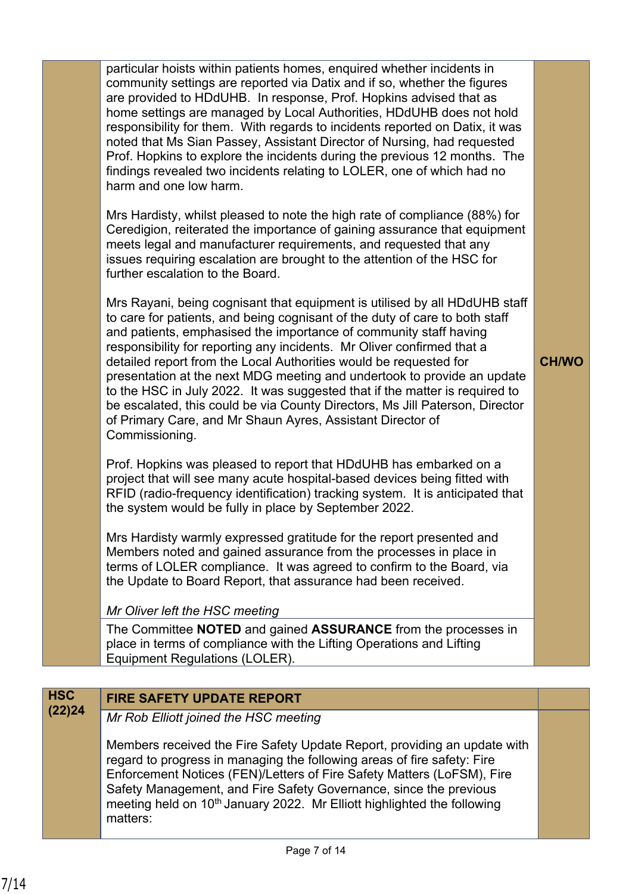particular hoists within patients homes, enquired whether incidents in community settings are reported via Datix and if so, whether the figures are provided to HDdUHB. In response, Prof. Hopkins advised that as home settings are managed by Local Authorities, HDdUHB does not hold responsibility for them. With regards to incidents reported on Datix, it was noted that Ms Sian Passey, Assistant Director of Nursing, had requested Prof. Hopkins to explore the incidents during the previous 12 months. The findings revealed two incidents relating to LOLER, one of which had no harm and one low harm.

Mrs Hardisty, whilst pleased to note the high rate of compliance (88%) for Ceredigion, reiterated the importance of gaining assurance that equipment meets legal and manufacturer requirements, and requested that any issues requiring escalation are brought to the attention of the HSC for further escalation to the Board.

Mrs Rayani, being cognisant that equipment is utilised by all HDdUHB staff to care for patients, and being cognisant of the duty of care to both staff and patients, emphasised the importance of community staff having responsibility for reporting any incidents. Mr Oliver confirmed that a detailed report from the Local Authorities would be requested for presentation at the next MDG meeting and undertook to provide an update to the HSC in July 2022. It was suggested that if the matter is required to be escalated, this could be via County Directors, Ms Jill Paterson, Director of Primary Care, and Mr Shaun Ayres, Assistant Director of Commissioning.

Prof. Hopkins was pleased to report that HDdUHB has embarked on a project that will see many acute hospital-based devices being fitted with RFID (radio-frequency identification) tracking system. It is anticipated that the system would be fully in place by September 2022.

Mrs Hardisty warmly expressed gratitude for the report presented and Members noted and gained assurance from the processes in place in terms of LOLER compliance. It was agreed to confirm to the Board, via the Update to Board Report, that assurance had been received.

#### *Mr Oliver left the HSC meeting*

The Committee **NOTED** and gained **ASSURANCE** from the processes in place in terms of compliance with the Lifting Operations and Lifting Equipment Regulations (LOLER).

# **HSC FIRE SAFETY UPDATE REPORT**

**(22)24** *Mr Rob Elliott joined the HSC meeting*

Members received the Fire Safety Update Report, providing an update with regard to progress in managing the following areas of fire safety: Fire Enforcement Notices (FEN)/Letters of Fire Safety Matters (LoFSM), Fire Safety Management, and Fire Safety Governance, since the previous meeting held on 10<sup>th</sup> January 2022. Mr Elliott highlighted the following matters:

**CH/WO**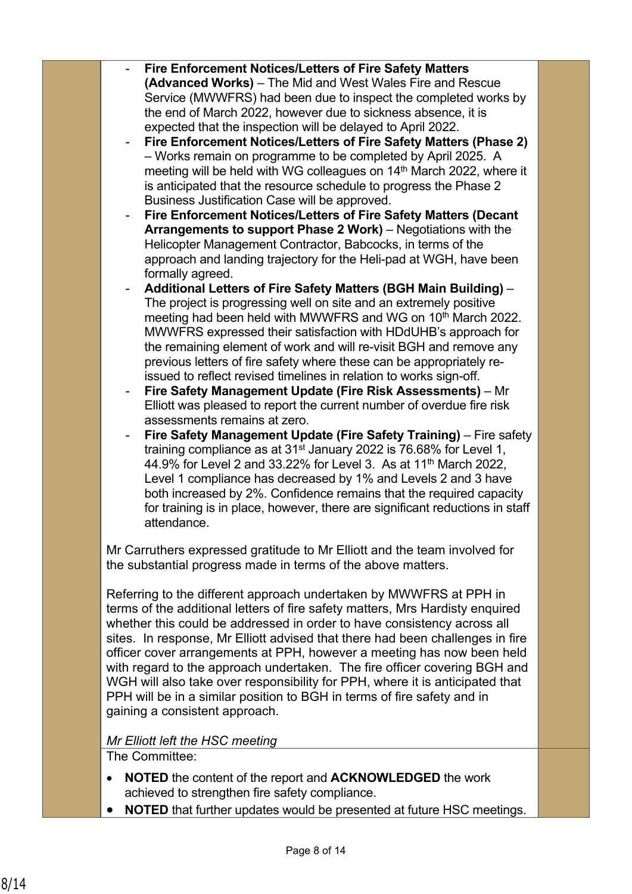- **Fire Enforcement Notices/Letters of Fire Safety Matters (Advanced Works)** – The Mid and West Wales Fire and Rescue Service (MWWFRS) had been due to inspect the completed works by the end of March 2022, however due to sickness absence, it is expected that the inspection will be delayed to April 2022.
- **Fire Enforcement Notices/Letters of Fire Safety Matters (Phase 2)** – Works remain on programme to be completed by April 2025. A meeting will be held with WG colleagues on 14<sup>th</sup> March 2022, where it is anticipated that the resource schedule to progress the Phase 2 Business Justification Case will be approved.
- **Fire Enforcement Notices/Letters of Fire Safety Matters (Decant Arrangements to support Phase 2 Work)** – Negotiations with the Helicopter Management Contractor, Babcocks, in terms of the approach and landing trajectory for the Heli-pad at WGH, have been formally agreed.
- **Additional Letters of Fire Safety Matters (BGH Main Building)**  The project is progressing well on site and an extremely positive meeting had been held with MWWFRS and WG on 10<sup>th</sup> March 2022. MWWFRS expressed their satisfaction with HDdUHB's approach for the remaining element of work and will re-visit BGH and remove any previous letters of fire safety where these can be appropriately reissued to reflect revised timelines in relation to works sign-off.
- **Fire Safety Management Update (Fire Risk Assessments)** Mr Elliott was pleased to report the current number of overdue fire risk assessments remains at zero.
- **Fire Safety Management Update (Fire Safety Training)** Fire safety training compliance as at 31st January 2022 is 76.68% for Level 1, 44.9% for Level 2 and 33.22% for Level 3. As at 11th March 2022, Level 1 compliance has decreased by 1% and Levels 2 and 3 have both increased by 2%. Confidence remains that the required capacity for training is in place, however, there are significant reductions in staff attendance.

Mr Carruthers expressed gratitude to Mr Elliott and the team involved for the substantial progress made in terms of the above matters.

Referring to the different approach undertaken by MWWFRS at PPH in terms of the additional letters of fire safety matters, Mrs Hardisty enquired whether this could be addressed in order to have consistency across all sites. In response, Mr Elliott advised that there had been challenges in fire officer cover arrangements at PPH, however a meeting has now been held with regard to the approach undertaken. The fire officer covering BGH and WGH will also take over responsibility for PPH, where it is anticipated that PPH will be in a similar position to BGH in terms of fire safety and in gaining a consistent approach.

#### *Mr Elliott left the HSC meeting*

The Committee:

- **NOTED** the content of the report and **ACKNOWLEDGED** the work achieved to strengthen fire safety compliance.
- **NOTED** that further updates would be presented at future HSC meetings.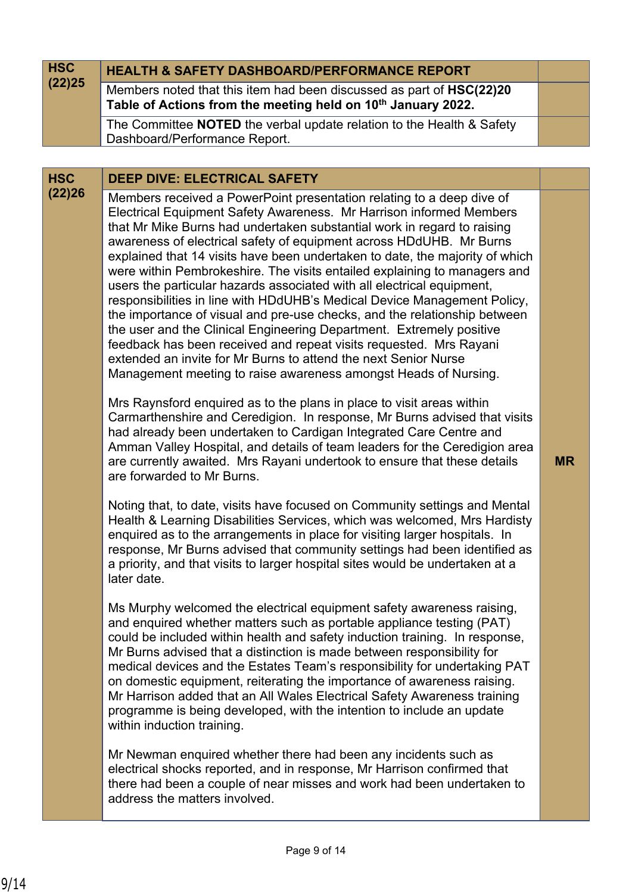| <b>HSC</b>           | <b>HEALTH &amp; SAFETY DASHBOARD/PERFORMANCE REPORT</b>                                                                                                                                                                                                                                                                                                                                                                                                                                                                                                                                                                                                                                                                                                                                                                                                                                                                                                                                                                                                                                                                                                                                                                                                                                                                                                                                                                                                                                                                                                                                                                                                                                                                                                                                                                                                                                                                                                                                                                                                                                                                                                                                                                                                                                                                                                                                                                                                                                                                                                                                                                                                                                                                                                                            |           |
|----------------------|------------------------------------------------------------------------------------------------------------------------------------------------------------------------------------------------------------------------------------------------------------------------------------------------------------------------------------------------------------------------------------------------------------------------------------------------------------------------------------------------------------------------------------------------------------------------------------------------------------------------------------------------------------------------------------------------------------------------------------------------------------------------------------------------------------------------------------------------------------------------------------------------------------------------------------------------------------------------------------------------------------------------------------------------------------------------------------------------------------------------------------------------------------------------------------------------------------------------------------------------------------------------------------------------------------------------------------------------------------------------------------------------------------------------------------------------------------------------------------------------------------------------------------------------------------------------------------------------------------------------------------------------------------------------------------------------------------------------------------------------------------------------------------------------------------------------------------------------------------------------------------------------------------------------------------------------------------------------------------------------------------------------------------------------------------------------------------------------------------------------------------------------------------------------------------------------------------------------------------------------------------------------------------------------------------------------------------------------------------------------------------------------------------------------------------------------------------------------------------------------------------------------------------------------------------------------------------------------------------------------------------------------------------------------------------------------------------------------------------------------------------------------------------|-----------|
| (22)25               | Members noted that this item had been discussed as part of HSC(22)20<br>Table of Actions from the meeting held on 10 <sup>th</sup> January 2022.                                                                                                                                                                                                                                                                                                                                                                                                                                                                                                                                                                                                                                                                                                                                                                                                                                                                                                                                                                                                                                                                                                                                                                                                                                                                                                                                                                                                                                                                                                                                                                                                                                                                                                                                                                                                                                                                                                                                                                                                                                                                                                                                                                                                                                                                                                                                                                                                                                                                                                                                                                                                                                   |           |
|                      | The Committee <b>NOTED</b> the verbal update relation to the Health & Safety                                                                                                                                                                                                                                                                                                                                                                                                                                                                                                                                                                                                                                                                                                                                                                                                                                                                                                                                                                                                                                                                                                                                                                                                                                                                                                                                                                                                                                                                                                                                                                                                                                                                                                                                                                                                                                                                                                                                                                                                                                                                                                                                                                                                                                                                                                                                                                                                                                                                                                                                                                                                                                                                                                       |           |
|                      | Dashboard/Performance Report.                                                                                                                                                                                                                                                                                                                                                                                                                                                                                                                                                                                                                                                                                                                                                                                                                                                                                                                                                                                                                                                                                                                                                                                                                                                                                                                                                                                                                                                                                                                                                                                                                                                                                                                                                                                                                                                                                                                                                                                                                                                                                                                                                                                                                                                                                                                                                                                                                                                                                                                                                                                                                                                                                                                                                      |           |
|                      |                                                                                                                                                                                                                                                                                                                                                                                                                                                                                                                                                                                                                                                                                                                                                                                                                                                                                                                                                                                                                                                                                                                                                                                                                                                                                                                                                                                                                                                                                                                                                                                                                                                                                                                                                                                                                                                                                                                                                                                                                                                                                                                                                                                                                                                                                                                                                                                                                                                                                                                                                                                                                                                                                                                                                                                    |           |
| <b>HSC</b><br>(22)26 | <b>DEEP DIVE: ELECTRICAL SAFETY</b><br>Members received a PowerPoint presentation relating to a deep dive of<br>Electrical Equipment Safety Awareness. Mr Harrison informed Members<br>that Mr Mike Burns had undertaken substantial work in regard to raising<br>awareness of electrical safety of equipment across HDdUHB. Mr Burns<br>explained that 14 visits have been undertaken to date, the majority of which<br>were within Pembrokeshire. The visits entailed explaining to managers and<br>users the particular hazards associated with all electrical equipment,<br>responsibilities in line with HDdUHB's Medical Device Management Policy,<br>the importance of visual and pre-use checks, and the relationship between<br>the user and the Clinical Engineering Department. Extremely positive<br>feedback has been received and repeat visits requested. Mrs Rayani<br>extended an invite for Mr Burns to attend the next Senior Nurse<br>Management meeting to raise awareness amongst Heads of Nursing.<br>Mrs Raynsford enquired as to the plans in place to visit areas within<br>Carmarthenshire and Ceredigion. In response, Mr Burns advised that visits<br>had already been undertaken to Cardigan Integrated Care Centre and<br>Amman Valley Hospital, and details of team leaders for the Ceredigion area<br>are currently awaited. Mrs Rayani undertook to ensure that these details<br>are forwarded to Mr Burns.<br>Noting that, to date, visits have focused on Community settings and Mental<br>Health & Learning Disabilities Services, which was welcomed, Mrs Hardisty<br>enquired as to the arrangements in place for visiting larger hospitals. In<br>response, Mr Burns advised that community settings had been identified as<br>a priority, and that visits to larger hospital sites would be undertaken at a<br>later date.<br>Ms Murphy welcomed the electrical equipment safety awareness raising,<br>and enquired whether matters such as portable appliance testing (PAT)<br>could be included within health and safety induction training. In response,<br>Mr Burns advised that a distinction is made between responsibility for<br>medical devices and the Estates Team's responsibility for undertaking PAT<br>on domestic equipment, reiterating the importance of awareness raising.<br>Mr Harrison added that an All Wales Electrical Safety Awareness training<br>programme is being developed, with the intention to include an update<br>within induction training.<br>Mr Newman enquired whether there had been any incidents such as<br>electrical shocks reported, and in response, Mr Harrison confirmed that<br>there had been a couple of near misses and work had been undertaken to<br>address the matters involved. | <b>MR</b> |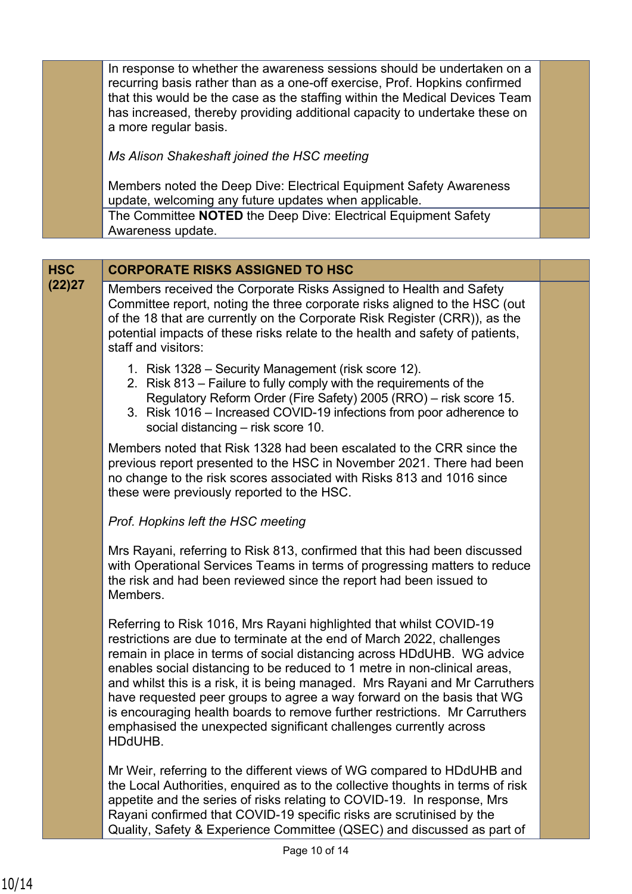In response to whether the awareness sessions should be undertaken on a recurring basis rather than as a one-off exercise, Prof. Hopkins confirmed that this would be the case as the staffing within the Medical Devices Team has increased, thereby providing additional capacity to undertake these on a more regular basis.

*Ms Alison Shakeshaft joined the HSC meeting*

Members noted the Deep Dive: Electrical Equipment Safety Awareness update, welcoming any future updates when applicable. The Committee **NOTED** the Deep Dive: Electrical Equipment Safety Awareness update.

## **HSC CORPORATE RISKS ASSIGNED TO HSC**

**(22)27** Members received the Corporate Risks Assigned to Health and Safety Committee report, noting the three corporate risks aligned to the HSC (out of the 18 that are currently on the Corporate Risk Register (CRR)), as the potential impacts of these risks relate to the health and safety of patients, staff and visitors:

- 1. Risk 1328 Security Management (risk score 12).
- 2. Risk 813 Failure to fully comply with the requirements of the Regulatory Reform Order (Fire Safety) 2005 (RRO) – risk score 15.
- 3. Risk 1016 Increased COVID-19 infections from poor adherence to social distancing – risk score 10.

Members noted that Risk 1328 had been escalated to the CRR since the previous report presented to the HSC in November 2021. There had been no change to the risk scores associated with Risks 813 and 1016 since these were previously reported to the HSC.

#### *Prof. Hopkins left the HSC meeting*

Mrs Rayani, referring to Risk 813, confirmed that this had been discussed with Operational Services Teams in terms of progressing matters to reduce the risk and had been reviewed since the report had been issued to Members.

Referring to Risk 1016, Mrs Rayani highlighted that whilst COVID-19 restrictions are due to terminate at the end of March 2022, challenges remain in place in terms of social distancing across HDdUHB. WG advice enables social distancing to be reduced to 1 metre in non-clinical areas, and whilst this is a risk, it is being managed. Mrs Rayani and Mr Carruthers have requested peer groups to agree a way forward on the basis that WG is encouraging health boards to remove further restrictions. Mr Carruthers emphasised the unexpected significant challenges currently across HDdUHB.

Mr Weir, referring to the different views of WG compared to HDdUHB and the Local Authorities, enquired as to the collective thoughts in terms of risk appetite and the series of risks relating to COVID-19. In response, Mrs Rayani confirmed that COVID-19 specific risks are scrutinised by the Quality, Safety & Experience Committee (QSEC) and discussed as part of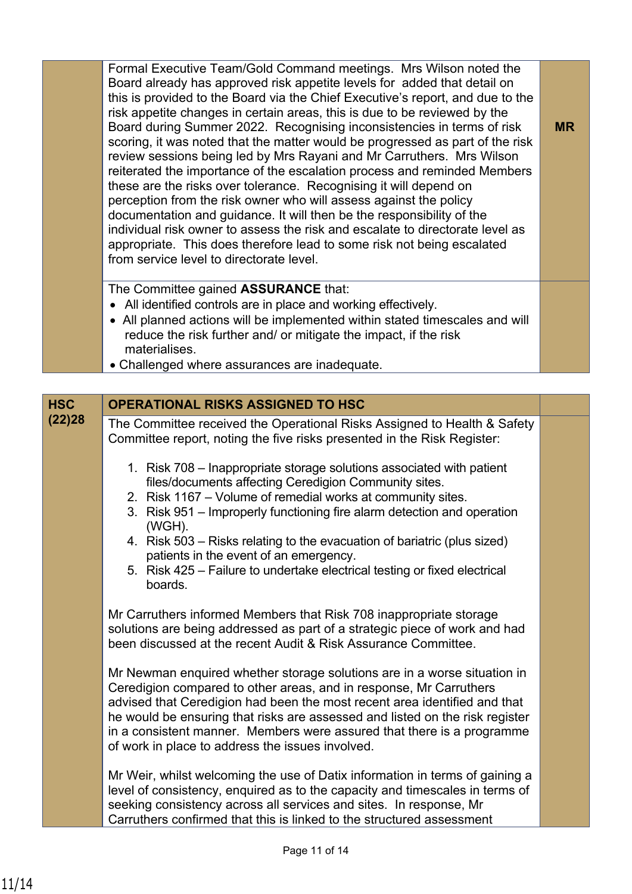Formal Executive Team/Gold Command meetings. Mrs Wilson noted the Board already has approved risk appetite levels for added that detail on this is provided to the Board via the Chief Executive's report, and due to the risk appetite changes in certain areas, this is due to be reviewed by the Board during Summer 2022. Recognising inconsistencies in terms of risk scoring, it was noted that the matter would be progressed as part of the risk review sessions being led by Mrs Rayani and Mr Carruthers. Mrs Wilson reiterated the importance of the escalation process and reminded Members these are the risks over tolerance. Recognising it will depend on perception from the risk owner who will assess against the policy documentation and guidance. It will then be the responsibility of the individual risk owner to assess the risk and escalate to directorate level as appropriate. This does therefore lead to some risk not being escalated from service level to directorate level.

**MR**

The Committee gained **ASSURANCE** that:

- All identified controls are in place and working effectively.
- All planned actions will be implemented within stated timescales and will reduce the risk further and/ or mitigate the impact, if the risk materialises.
- Challenged where assurances are inadequate.

| <b>HSC</b> | <b>OPERATIONAL RISKS ASSIGNED TO HSC</b>                                                                                                                                                                                                                                                                                                                                                                                                  |  |
|------------|-------------------------------------------------------------------------------------------------------------------------------------------------------------------------------------------------------------------------------------------------------------------------------------------------------------------------------------------------------------------------------------------------------------------------------------------|--|
| (22)28     | The Committee received the Operational Risks Assigned to Health & Safety<br>Committee report, noting the five risks presented in the Risk Register:                                                                                                                                                                                                                                                                                       |  |
|            | 1. Risk 708 - Inappropriate storage solutions associated with patient<br>files/documents affecting Ceredigion Community sites.<br>2. Risk 1167 – Volume of remedial works at community sites.<br>3. Risk 951 – Improperly functioning fire alarm detection and operation                                                                                                                                                                  |  |
|            | (WGH).<br>4. Risk 503 – Risks relating to the evacuation of bariatric (plus sized)<br>patients in the event of an emergency.<br>5. Risk 425 – Failure to undertake electrical testing or fixed electrical                                                                                                                                                                                                                                 |  |
|            | boards.<br>Mr Carruthers informed Members that Risk 708 inappropriate storage                                                                                                                                                                                                                                                                                                                                                             |  |
|            | solutions are being addressed as part of a strategic piece of work and had<br>been discussed at the recent Audit & Risk Assurance Committee.                                                                                                                                                                                                                                                                                              |  |
|            | Mr Newman enquired whether storage solutions are in a worse situation in<br>Ceredigion compared to other areas, and in response, Mr Carruthers<br>advised that Ceredigion had been the most recent area identified and that<br>he would be ensuring that risks are assessed and listed on the risk register<br>in a consistent manner. Members were assured that there is a programme<br>of work in place to address the issues involved. |  |
|            | Mr Weir, whilst welcoming the use of Datix information in terms of gaining a<br>level of consistency, enquired as to the capacity and timescales in terms of<br>seeking consistency across all services and sites. In response, Mr<br>Carruthers confirmed that this is linked to the structured assessment                                                                                                                               |  |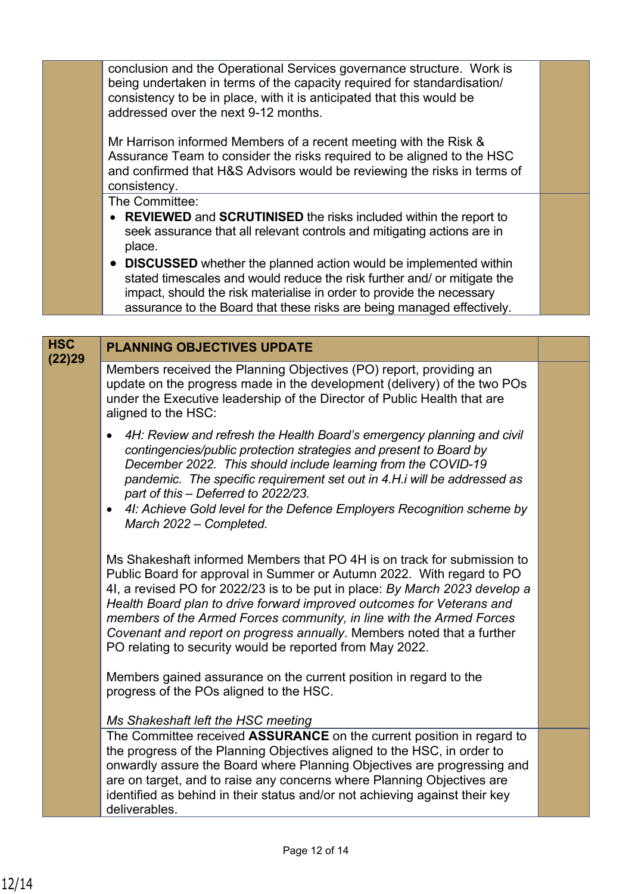conclusion and the Operational Services governance structure. Work is being undertaken in terms of the capacity required for standardisation/ consistency to be in place, with it is anticipated that this would be addressed over the next 9-12 months.

Mr Harrison informed Members of a recent meeting with the Risk & Assurance Team to consider the risks required to be aligned to the HSC and confirmed that H&S Advisors would be reviewing the risks in terms of consistency.

The Committee:

- **REVIEWED** and **SCRUTINISED** the risks included within the report to seek assurance that all relevant controls and mitigating actions are in place.
- **DISCUSSED** whether the planned action would be implemented within stated timescales and would reduce the risk further and/ or mitigate the impact, should the risk materialise in order to provide the necessary assurance to the Board that these risks are being managed effectively.

| <b>HSC</b><br>(22)29 | <b>PLANNING OBJECTIVES UPDATE</b>                                                                                                                                                                                                                                                                                                                                                                                                                                                                                                                                                                                                                                            |  |
|----------------------|------------------------------------------------------------------------------------------------------------------------------------------------------------------------------------------------------------------------------------------------------------------------------------------------------------------------------------------------------------------------------------------------------------------------------------------------------------------------------------------------------------------------------------------------------------------------------------------------------------------------------------------------------------------------------|--|
|                      | Members received the Planning Objectives (PO) report, providing an<br>update on the progress made in the development (delivery) of the two POs<br>under the Executive leadership of the Director of Public Health that are<br>aligned to the HSC:                                                                                                                                                                                                                                                                                                                                                                                                                            |  |
|                      | 4H: Review and refresh the Health Board's emergency planning and civil<br>contingencies/public protection strategies and present to Board by<br>December 2022. This should include learning from the COVID-19<br>pandemic. The specific requirement set out in 4.H.i will be addressed as<br>part of this - Deferred to 2022/23.<br>41: Achieve Gold level for the Defence Employers Recognition scheme by<br>$\bullet$<br>March 2022 - Completed.                                                                                                                                                                                                                           |  |
|                      | Ms Shakeshaft informed Members that PO 4H is on track for submission to<br>Public Board for approval in Summer or Autumn 2022. With regard to PO<br>4I, a revised PO for 2022/23 is to be put in place: By March 2023 develop a<br>Health Board plan to drive forward improved outcomes for Veterans and<br>members of the Armed Forces community, in line with the Armed Forces<br>Covenant and report on progress annually. Members noted that a further<br>PO relating to security would be reported from May 2022.<br>Members gained assurance on the current position in regard to the<br>progress of the POs aligned to the HSC.<br>Ms Shakeshaft left the HSC meeting |  |
|                      | The Committee received <b>ASSURANCE</b> on the current position in regard to<br>the progress of the Planning Objectives aligned to the HSC, in order to<br>onwardly assure the Board where Planning Objectives are progressing and<br>are on target, and to raise any concerns where Planning Objectives are<br>identified as behind in their status and/or not achieving against their key<br>deliverables.                                                                                                                                                                                                                                                                 |  |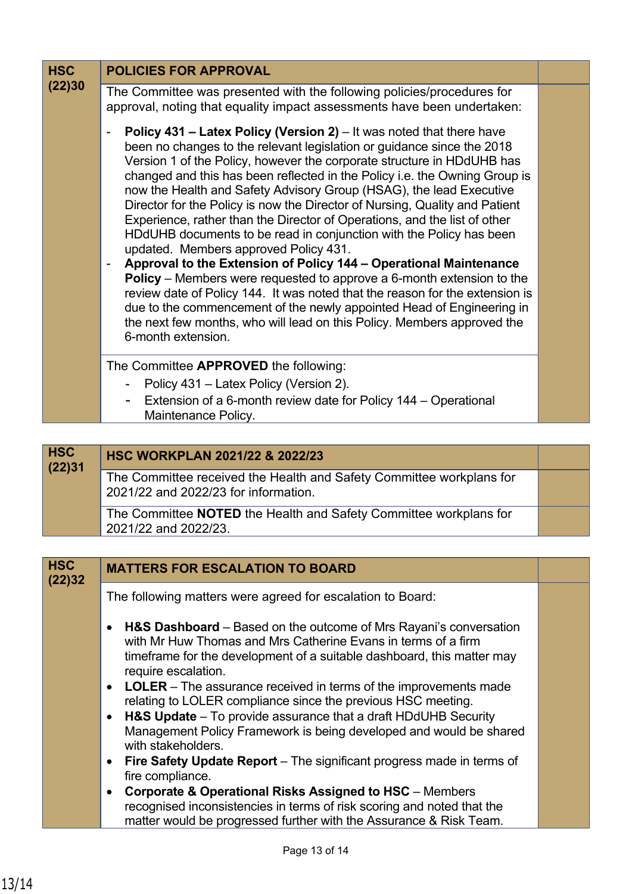| <b>HSC</b><br>(22)30 | <b>POLICIES FOR APPROVAL</b>                                                                                                                                                                                                                                                                                                                                                                                                                                                                                                                                                                                                                                                                                                                                                                                                                                                                                                                                                                                                                                             |  |
|----------------------|--------------------------------------------------------------------------------------------------------------------------------------------------------------------------------------------------------------------------------------------------------------------------------------------------------------------------------------------------------------------------------------------------------------------------------------------------------------------------------------------------------------------------------------------------------------------------------------------------------------------------------------------------------------------------------------------------------------------------------------------------------------------------------------------------------------------------------------------------------------------------------------------------------------------------------------------------------------------------------------------------------------------------------------------------------------------------|--|
|                      | The Committee was presented with the following policies/procedures for<br>approval, noting that equality impact assessments have been undertaken:                                                                                                                                                                                                                                                                                                                                                                                                                                                                                                                                                                                                                                                                                                                                                                                                                                                                                                                        |  |
|                      | <b>Policy 431 – Latex Policy (Version 2)</b> – It was noted that there have<br>been no changes to the relevant legislation or guidance since the 2018<br>Version 1 of the Policy, however the corporate structure in HDdUHB has<br>changed and this has been reflected in the Policy i.e. the Owning Group is<br>now the Health and Safety Advisory Group (HSAG), the lead Executive<br>Director for the Policy is now the Director of Nursing, Quality and Patient<br>Experience, rather than the Director of Operations, and the list of other<br>HDdUHB documents to be read in conjunction with the Policy has been<br>updated. Members approved Policy 431.<br>Approval to the Extension of Policy 144 - Operational Maintenance<br>Policy – Members were requested to approve a 6-month extension to the<br>review date of Policy 144. It was noted that the reason for the extension is<br>due to the commencement of the newly appointed Head of Engineering in<br>the next few months, who will lead on this Policy. Members approved the<br>6-month extension. |  |
|                      | The Committee APPROVED the following:                                                                                                                                                                                                                                                                                                                                                                                                                                                                                                                                                                                                                                                                                                                                                                                                                                                                                                                                                                                                                                    |  |
|                      | Policy 431 – Latex Policy (Version 2).                                                                                                                                                                                                                                                                                                                                                                                                                                                                                                                                                                                                                                                                                                                                                                                                                                                                                                                                                                                                                                   |  |
|                      | Extension of a 6-month review date for Policy 144 – Operational<br>$\qquad \qquad \blacksquare$<br>Maintenance Policy.                                                                                                                                                                                                                                                                                                                                                                                                                                                                                                                                                                                                                                                                                                                                                                                                                                                                                                                                                   |  |

| <b>HSC</b><br>(22)31 | HSC WORKPLAN 2021/22 & 2022/23                                                                               |  |
|----------------------|--------------------------------------------------------------------------------------------------------------|--|
|                      | The Committee received the Health and Safety Committee workplans for<br>2021/22 and 2022/23 for information. |  |
|                      | The Committee <b>NOTED</b> the Health and Safety Committee workplans for<br>2021/22 and 2022/23.             |  |

| <b>HSC</b><br>(22)32 | <b>MATTERS FOR ESCALATION TO BOARD</b>                                                                                                                                                                                                                                                                                                                                                                                                                                                                                                                                                    |  |
|----------------------|-------------------------------------------------------------------------------------------------------------------------------------------------------------------------------------------------------------------------------------------------------------------------------------------------------------------------------------------------------------------------------------------------------------------------------------------------------------------------------------------------------------------------------------------------------------------------------------------|--|
|                      | The following matters were agreed for escalation to Board:                                                                                                                                                                                                                                                                                                                                                                                                                                                                                                                                |  |
|                      | <b>H&amp;S Dashboard</b> – Based on the outcome of Mrs Rayani's conversation<br>$\bullet$<br>with Mr Huw Thomas and Mrs Catherine Evans in terms of a firm<br>timeframe for the development of a suitable dashboard, this matter may<br>require escalation.<br>• LOLER – The assurance received in terms of the improvements made<br>relating to LOLER compliance since the previous HSC meeting.<br><b>H&amp;S Update</b> $-$ To provide assurance that a draft HDdUHB Security<br>$\bullet$<br>Management Policy Framework is being developed and would be shared<br>with stakeholders. |  |
|                      | <b>Fire Safety Update Report</b> – The significant progress made in terms of<br>$\bullet$<br>fire compliance.                                                                                                                                                                                                                                                                                                                                                                                                                                                                             |  |
|                      | <b>Corporate &amp; Operational Risks Assigned to HSC</b> - Members<br>$\bullet$<br>recognised inconsistencies in terms of risk scoring and noted that the<br>matter would be progressed further with the Assurance & Risk Team.                                                                                                                                                                                                                                                                                                                                                           |  |